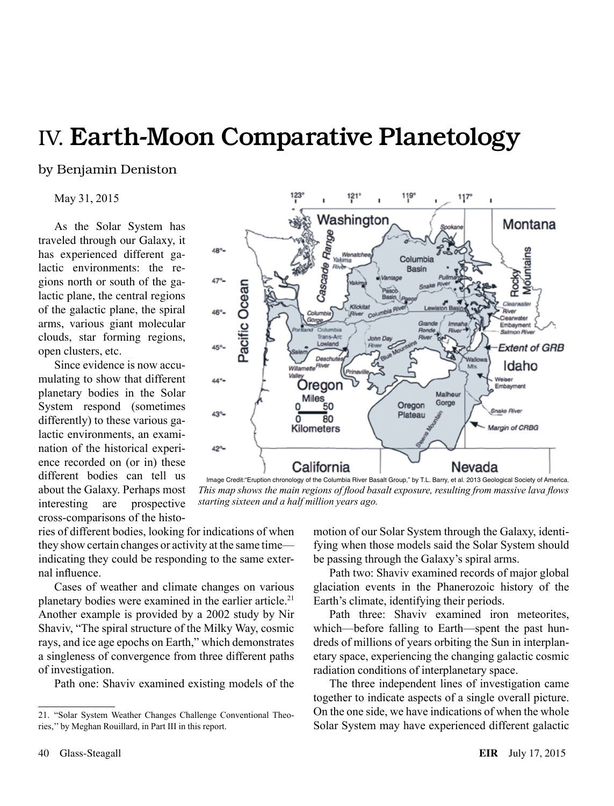## IV. Earth-Moon Comparative Planetology

by Benjamin Deniston

May 31, 2015

As the Solar System has traveled through our Galaxy, it has experienced different galactic environments: the regions north or south of the galactic plane, the central regions of the galactic plane, the spiral arms, various giant molecular clouds, star forming regions, open clusters, etc.

Since evidence is now accumulating to show that different planetary bodies in the Solar System respond (sometimes differently) to these various galactic environments, an examination of the historical experience recorded on (or in) these different bodies can tell us about the Galaxy. Perhaps most interesting are prospective cross-comparisons of the histo-

121' 11<sub>9°</sub> 117 ï Washington Montana Cascade Range 48° **ountains** Wenatol<br>Yakima Columbia **Basin** 47% Pacific Ocean Clearwate **Klickitat** 46°c *<u>Convertor</u>* Embayment **Salmon Rive** Trans-Ar **Extent of GRB** 45% Deschu Idaho 44% Weiser<br>Embayment Oregon Siego<br>Miles<br><u>5</u>0 Malhour Gorge Oregon Snake River 43% Plateau 80 Kilometers Margin of CRBG  $42^{\circ}$ -California Nevada

Image Credit:"Eruption chronology of the Columbia River Basalt Group," by T.L. Barry, et al. 2013 Geological Society of America. *This map shows the main regions of flood basalt exposure, resulting from massive lava flows starting sixteen and a half million years ago.*

ries of different bodies, looking for indications of when they show certain changes or activity at the same time indicating they could be responding to the same external influence.

Cases of weather and climate changes on various planetary bodies were examined in the earlier article.<sup>21</sup> Another example is provided by a 2002 study by Nir Shaviv, "The spiral structure of the Milky Way, cosmic rays, and ice age epochs on Earth," which demonstrates a singleness of convergence from three different paths of investigation.

Path one: Shaviv examined existing models of the

motion of our Solar System through the Galaxy, identifying when those models said the Solar System should be passing through the Galaxy's spiral arms.

Path two: Shaviv examined records of major global glaciation events in the Phanerozoic history of the Earth's climate, identifying their periods.

Path three: Shaviv examined iron meteorites, which—before falling to Earth—spent the past hundreds of millions of years orbiting the Sun in interplanetary space, experiencing the changing galactic cosmic radiation conditions of interplanetary space.

The three independent lines of investigation came together to indicate aspects of a single overall picture. On the one side, we have indications of when the whole Solar System may have experienced different galactic

<sup>21.</sup> "Solar System Weather Changes Challenge Conventional Theories,'' by Meghan Rouillard, in Part III in this report.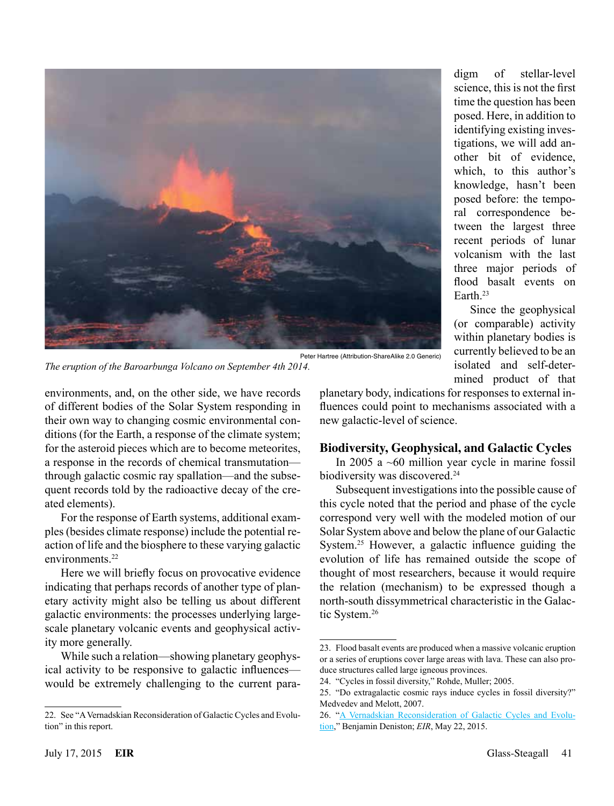

digm of stellar-level science, this is not the first time the question has been posed. Here, in addition to identifying existing investigations, we will add another bit of evidence, which, to this author's knowledge, hasn't been posed before: the temporal correspondence between the largest three recent periods of lunar volcanism with the last three major periods of flood basalt events on Earth.23

Since the geophysical (or comparable) activity within planetary bodies is currently believed to be an isolated and self-determined product of that

*The eruption of the Baroarbunga Volcano on September 4th 2014.*

environments, and, on the other side, we have records of different bodies of the Solar System responding in their own way to changing cosmic environmental conditions (for the Earth, a response of the climate system; for the asteroid pieces which are to become meteorites, a response in the records of chemical transmutation through galactic cosmic ray spallation—and the subsequent records told by the radioactive decay of the created elements).

For the response of Earth systems, additional examples (besides climate response) include the potential reaction of life and the biosphere to these varying galactic environments<sup>22</sup>

Here we will briefly focus on provocative evidence indicating that perhaps records of another type of planetary activity might also be telling us about different galactic environments: the processes underlying largescale planetary volcanic events and geophysical activity more generally.

While such a relation—showing planetary geophysical activity to be responsive to galactic influences would be extremely challenging to the current paraplanetary body, indications for responses to external influences could point to mechanisms associated with a new galactic-level of science.

## **Biodiversity, Geophysical, and Galactic Cycles**

In 2005 a ~60 million year cycle in marine fossil biodiversity was discovered.<sup>24</sup>

Subsequent investigations into the possible cause of this cycle noted that the period and phase of the cycle correspond very well with the modeled motion of our Solar System above and below the plane of our Galactic System.25 However, a galactic influence guiding the evolution of life has remained outside the scope of thought of most researchers, because it would require the relation (mechanism) to be expressed though a north-south dissymmetrical characteristic in the Galactic System.26

<sup>22.</sup> See "A Vernadskian Reconsideration of Galactic Cycles and Evolution" in this report.

<sup>23.</sup> Flood basalt events are produced when a massive volcanic eruption or a series of eruptions cover large areas with lava. These can also produce structures called large igneous provinces.

<sup>24.</sup> "Cycles in fossil diversity," Rohde, Muller; 2005.

<sup>25.</sup> "Do extragalactic cosmic rays induce cycles in fossil diversity?" Medvedev and Melott, 2007.

<sup>26.</sup> "[A Vernadskian Reconsideration of Galactic Cycles and Evolu](http://www.larouchepub.com/eiw/public/2015/eirv42n21-20150522/59-64_4221.pdf)[tion](http://www.larouchepub.com/eiw/public/2015/eirv42n21-20150522/59-64_4221.pdf)," Benjamin Deniston; *EIR*, May 22, 2015.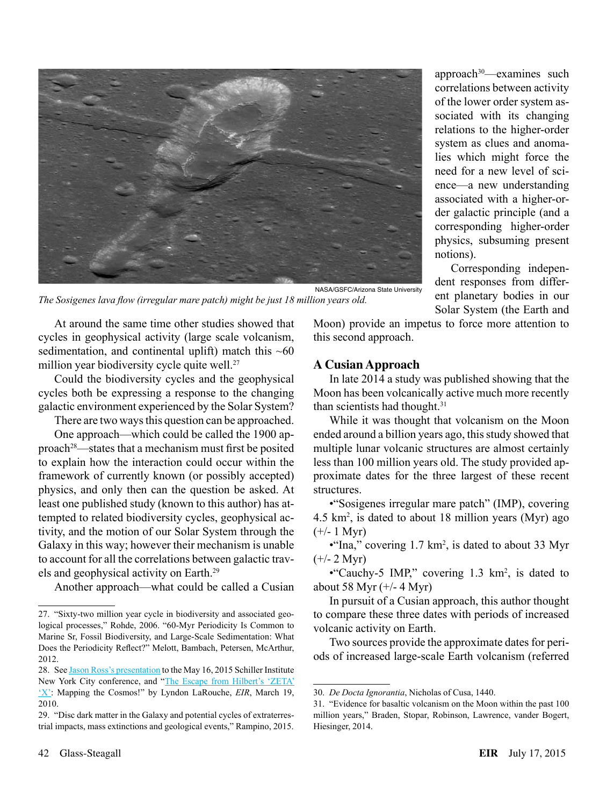

approach<sup>30</sup>—examines such correlations between activity of the lower order system associated with its changing relations to the higher-order system as clues and anomalies which might force the need for a new level of science—a new understanding associated with a higher-order galactic principle (and a corresponding higher-order physics, subsuming present notions).

Corresponding independent responses from different planetary bodies in our Solar System (the Earth and

At around the same time other studies showed that cycles in geophysical activity (large scale volcanism, sedimentation, and continental uplift) match this  $~560$ million year biodiversity cycle quite well.<sup>27</sup>

*The Sosigenes lava flow (irregular mare patch) might be just 18 million years old.*

Could the biodiversity cycles and the geophysical cycles both be expressing a response to the changing galactic environment experienced by the Solar System?

There are two ways this question can be approached.

One approach—which could be called the 1900 approach28—states that a mechanism must first be posited to explain how the interaction could occur within the framework of currently known (or possibly accepted) physics, and only then can the question be asked. At least one published study (known to this author) has attempted to related biodiversity cycles, geophysical activity, and the motion of our Solar System through the Galaxy in this way; however their mechanism is unable to account for all the correlations between galactic travels and geophysical activity on Earth.29

Another approach—what could be called a Cusian

Moon) provide an impetus to force more attention to this second approach.

## **A Cusian Approach**

In late 2014 a study was published showing that the Moon has been volcanically active much more recently than scientists had thought.<sup>31</sup>

While it was thought that volcanism on the Moon ended around a billion years ago, this study showed that multiple lunar volcanic structures are almost certainly less than 100 million years old. The study provided approximate dates for the three largest of these recent structures.

•"Sosigenes irregular mare patch" (IMP), covering 4.5 km2 , is dated to about 18 million years (Myr) ago  $(+/- 1$  Myr)

 $\cdot$ "Ina," covering 1.7 km<sup>2</sup>, is dated to about 33 Myr  $(+/- 2 Myr)$ 

• "Cauchy-5 IMP," covering  $1.3 \text{ km}^2$ , is dated to about 58 Myr  $(+/- 4$  Myr)

In pursuit of a Cusian approach, this author thought to compare these three dates with periods of increased volcanic activity on Earth.

Two sources provide the approximate dates for periods of increased large-scale Earth volcanism (referred

<sup>27.</sup> "Sixty-two million year cycle in biodiversity and associated geological processes," Rohde, 2006. "60-Myr Periodicity Is Common to Marine Sr, Fossil Biodiversity, and Large-Scale Sedimentation: What Does the Periodicity Reflect?" Melott, Bambach, Petersen, McArthur, 2012.

<sup>28.</sup> See [Jason Ross's presentation](http://youtu.be/QQ9f3RTQGEE?t=1550) to the May 16, 2015 Schiller Institute New York City conference, and ["The Escape from Hilbert's 'ZETA'](http://www.larouchepub.com/lar/2010/3711map_cosmos.html)  ['X':](http://www.larouchepub.com/lar/2010/3711map_cosmos.html) Mapping the Cosmos!" by Lyndon LaRouche, *EIR*, March 19, 2010.

<sup>29.</sup> "Disc dark matter in the Galaxy and potential cycles of extraterrestrial impacts, mass extinctions and geological events," Rampino, 2015.

<sup>30.</sup> *De Docta Ignorantia*, Nicholas of Cusa, 1440.

<sup>31.</sup> "Evidence for basaltic volcanism on the Moon within the past 100 million years," Braden, Stopar, Robinson, Lawrence, vander Bogert, Hiesinger, 2014.